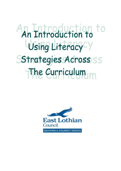# An Introduction to Using Literacy<sup>cy</sup> Sstrategies Across SS The Curriculum

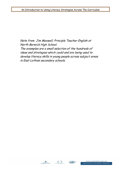Note from Jim Maxwell, Principle Teacher English at North Berwick High School. The examples are a small selection of the hundreds of ideas and strategies which could and are being used to develop literacy skills in young people across subject areas in East Lothian secondary schools.





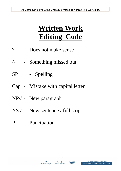## **Written Work Editing Code**

- ? Does not make sense
- ^ Something missed out
- SP Spelling
- Cap Mistake with capital letter
- NP// New paragraph
- NS / New sentence / full stop
- P Punctuation



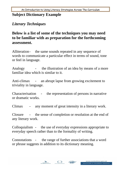## **Subject Dictionary Example**

## *Literary Techniques*

## **Below is a list of some of the techniques you may need to be familiar with as preparation for the forthcoming assessment.**

Alliteration - the same sounds repeated in any sequence of words to communicate a particular effect in terms of sound, tone or feel in language.

Analogy - the illustration of an idea by means of a more familiar idea which is similar to it.

Anti-climax - an abrupt lapse from growing excitement to triviality in language.

Characterisation - the representation of persons in narrative or dramatic works.

Climax - any moment of great intensity in a literary work.

Closure - the sense of completion or resolution at the end of any literary work.

Colloquialism - the use of everyday expressions appropriate to everyday speech rather than to the formality of writing.

Connotations - the range of further associations that a word or phrase suggests in addition to its dictionary meaning.



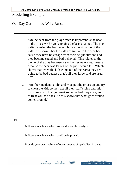## Modelling Example

Our Day Out by Willy Russell

- 1. 'An incident from the play which is important is the bear in the pit as Mr Briggs explains the bear's habitat. The play writer is using the bear to symbolise the situation of the kids. This shows that the kids are similar to the bear because they have no escape from their neighbourhood and they become caged and bad-behaved. This relates to the theme of the play because it symbolises nature vs. nurture because the bear was let out of the pit it would kill. Which shows that when the kids come out of their area they are going to be bad because that's all they know and are used  $to$ ?
- 2. 'Another incident is john and Mac put the prices up and try to cheat the kids so they get all their stuff stolen and this just shows you that you treat someone bad they are going to treat you bad back. So this shows that what goes around comes around.'

Task

- Indicate three things which are good about this analysis.
- Indicate three things which could be improved.
- Provide your own analysis of two examples of symbolism in the text.



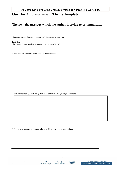**Our Day Out** By Willy Russell **Theme Template**

#### **Theme – the message which the author is trying to communicate.**

There are various themes communicated through **Our Day Out**.

**Part One**  The John and Mac incident – Scenes  $12 - 20$  pages  $38 - 43$ 

1 Explain what happens in the John and Mac incident.

2 Explain the message that Willy Russell is communicating through this scene.

3 Choose two quotations from the play as evidence to support your opinion







www.eastlothian.gov.uk **EDUCATION & CHILDREN'S SERVICES**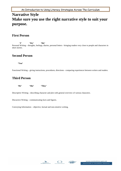## **Narrative Style Make sure you use the right narrative style to suit your purpose.**

#### **First Person**

**'I' 'We' 'Me'**  Personal Writing – thoughts, feelings, diaries, personal letters - bringing readers very close to people and characters in short stories.

#### **Second Person**

**'You'** 

Functional Writing – giving instructions, procedures, directions - comparing experiences between writers and readers.

### **Third Person**

**'He' 'She' 'They'** 

Descriptive Writing – describing character and plot with general overview of various characters.

Discursive Writing – communicating facts and figures.

Conveying Information – objective, factual and non-emotive writing.





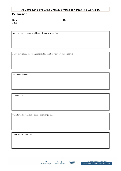#### **Persuasion**

Name\_\_\_\_\_\_\_\_\_\_\_\_\_\_\_\_\_\_\_\_\_\_\_\_\_\_\_\_\_\_\_\_\_\_\_\_\_Date\_\_\_\_\_\_\_\_\_\_\_\_\_\_\_\_\_\_\_\_\_\_\_\_\_\_ Title \_\_\_\_\_\_\_\_\_\_\_\_\_\_\_\_\_\_\_\_\_\_\_\_\_\_\_\_\_\_\_\_\_\_\_\_\_

Although not everyone would agree I want to argue that

I have several reasons for arguing for this point of view. My first reason is

A further reason is

Furthermore

Therefore, although some people might argue that

I think I have shown that





www.eastlothian.gov.uk EDUCATION & CHILDREN'S SERVICES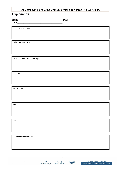#### **Explanation**

Title \_\_\_\_\_\_\_\_\_\_\_\_\_\_\_\_\_\_\_\_\_\_\_\_\_\_\_\_\_\_\_\_\_\_\_\_\_

Name\_\_\_\_\_\_\_\_\_\_\_\_\_\_\_\_\_\_\_\_\_\_\_\_\_\_\_\_\_\_\_\_\_\_\_\_\_Date\_\_\_\_\_\_\_\_\_\_\_\_\_\_\_\_\_\_\_\_\_\_\_\_\_\_

I want to explain how

To begin with / It starts by

And this makes / means / changes

After that

And as a result

Next

Then

The final result is that the



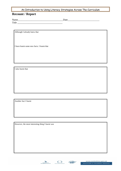#### **Recount / Report**

Title \_\_\_\_\_\_\_\_\_\_\_\_\_\_\_\_\_\_\_\_\_\_\_\_\_\_\_\_\_\_\_\_\_\_\_\_\_

Name\_\_\_\_\_\_\_\_\_\_\_\_\_\_\_\_\_\_\_\_\_\_\_\_\_\_\_\_\_\_\_\_\_\_\_\_\_Date\_\_\_\_\_\_\_\_\_\_\_\_\_\_\_\_\_\_\_\_\_\_\_\_\_\_

Although I already knew that

I have learnt some new facts. I learnt that

I also learnt that

Another fact I learnt

However, the most interesting thing I learnt was





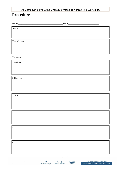## **Procedure**

| How to             |  |
|--------------------|--|
|                    |  |
| You will need      |  |
|                    |  |
|                    |  |
| The stages         |  |
| $1$ First you $\,$ |  |
|                    |  |
|                    |  |
| 2 Then you         |  |
|                    |  |
|                    |  |
| 3 Next             |  |
|                    |  |
|                    |  |
| $\vert$ 4          |  |
|                    |  |
| 5                  |  |
|                    |  |
|                    |  |
| $\overline{6}$     |  |
|                    |  |
|                    |  |

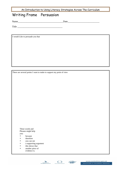## Writing Frame Persuasion

Name\_\_\_\_\_\_\_\_\_\_\_\_\_\_\_\_\_\_\_\_\_\_\_\_\_\_\_\_\_\_\_\_\_\_\_\_\_Date\_\_\_\_\_\_\_\_\_\_\_\_\_\_\_\_\_\_\_\_\_\_\_\_\_\_

Title \_\_\_\_\_\_\_\_\_\_\_\_\_\_\_\_\_\_\_\_\_\_\_\_\_\_\_\_\_\_\_\_\_\_\_\_\_

I would Like to persuade you that

There are several points I want to make to support my point of view

These words and Phrases might help you:

- **because**
- therefore
- you can see
- a supporting argument
- this shows that
- another piece of
- evidence is.





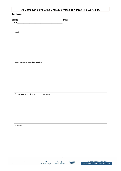#### **Recount**

Title \_\_\_\_\_\_\_\_\_\_\_\_\_\_\_\_\_\_\_\_\_\_\_\_\_\_\_\_\_\_\_\_\_\_\_\_\_

Name\_\_\_\_\_\_\_\_\_\_\_\_\_\_\_\_\_\_\_\_\_\_\_\_\_\_\_\_\_\_\_\_\_\_\_\_\_Date\_\_\_\_\_\_\_\_\_\_\_\_\_\_\_\_\_\_\_\_\_\_\_\_\_\_

Goal

Equipment and materials required

Action plan e.g. 1 first you …. 2 then you

Evaluation



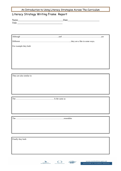#### Literacy Strategy Writing Frame Report

| $\mathbf{v}$<br>******* |  |
|-------------------------|--|
| $\mathbf{r}$<br>.       |  |

For example they both

They are also similar in

The ……………………………………………….. Is the same as

The ……………………………………………………………..resembles

Finally they both





www.eastlothian.gov.uk **EDUCATION & CHILDREN'S SERVICES**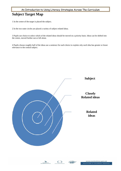## **Subject Target Map**

1 In the centre of the target is placed the subject.

2 In the two outer circles are placed a variety of subject related ideas.

3 Pupils use choice to select which of the related ideas should be moved on a priority basis. Ideas can be shifted into the centre, moved further out or left alone.

4 Pupils choose roughly half of the ideas use a sentence for each choice to explain why each idea has greater or lesser relevance to the central subject.





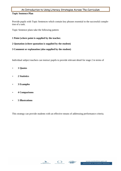#### **Topic Sentence Plan**

Provide pupils with Topic Sentences which contain key phrases essential to the successful completion of a task.

Topic Sentence plans take the following pattern

**1 Point (where point is supplied by the teacher.** 

#### **2 Quotation (where quotation is supplied by the student)**

#### **3 Comment or explanation (also supplied by the student)**

Individual subject teachers can instruct pupils to provide relevant detail for stage 2 in terms of

- **1 Quotes**
- **2 Statistics**
- **3 Examples**
- **4 Comparisons**
- **5 Illustrations**

This strategy can provide students with an effective means of addressing performance criteria.





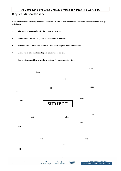#### **Key words Scatter sheet**

Keyword Scatter Sheets can provide students with a means of constructing logical written work in response to a specific topic.

- **The main subject is place in the centre of the sheet.**
- **Around this subject are placed a variety of linked ideas.**
- **Students draw lines between linked ideas to attempt to make connections.**
- **Connections can be chronological, thematic, social etc.**
- **Connections provide a procedural pattern for subsequent writing.**

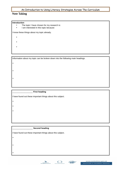#### **Note Taking**

#### **Introduction**

- The topic I have chosen for my research is:
- I am interested in this topic because:

I know these things about my topic already.

- •
- •
- 
- •

•

•

•

•

•

•

•

•

•

Information about my topic can be broken down into the following main headings.

#### \_\_\_\_\_\_\_\_\_\_\_\_\_\_\_\_\_\_ **First heading**

I have found out these important things about this subject.

#### \_\_\_\_\_\_\_\_\_\_\_\_\_\_\_\_\_\_ **Second heading**

I have found out these important things about this subject.





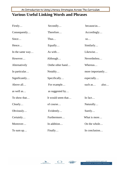## **Various Useful Linking Words and Phrases**

| Firstly         | Secondly           | because/as       |  |  |
|-----------------|--------------------|------------------|--|--|
| Consequently    | Therefore          | Accordingly      |  |  |
| Since           | Thus               | SO               |  |  |
| Hence           | Equally            | Similarly        |  |  |
| In the same way | As with            | Likewise         |  |  |
| However         | Although           | Nevertheless     |  |  |
| Alternatively   | Onthe other hand   | Whereas          |  |  |
| In particular   | Notably            | more importantly |  |  |
| Significantly   | Specifically       | especially       |  |  |
| Above all       | For example        | such as<br>also  |  |  |
| as well as      | as suggested by    |                  |  |  |
| To show that    | It would seem that | In fact          |  |  |
| Clearly         | of course          | Naturally        |  |  |
| Obviously       | Evidently          | Surely           |  |  |
| Certainly       | Furthermore        | What is more     |  |  |
| Moreover        | In addition        | On the whole     |  |  |
| To sum $up$     | Finally            | In conclusion    |  |  |



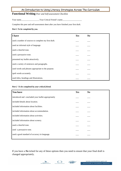#### **Functional Writing** *Peer and Self-assessment Checklist*

Your name\_\_\_\_\_\_\_\_\_\_\_\_\_\_\_\_\_\_Your Critical Friend's name\_\_\_\_\_\_\_\_\_\_\_\_\_\_\_\_\_\_\_

Complete this peer and self-assessment sheet after you have finished your first draft.

#### *Part 1 To be completed by you.*

| I have                                               | Yes | $\bm{N}$ |
|------------------------------------------------------|-----|----------|
| used a number of sources to complete my first draft. |     |          |
| used an informal style of language.                  |     |          |
| used a cheerful tone.                                |     |          |
| used a persuasive tone.                              |     |          |
| presented my leaflet attractively.                   |     |          |
| used a variety of sentences and paragraphs.          |     |          |
| used words and phrases appropriate to the purpose.   |     |          |
| spelt words accurately.                              |     |          |
| used titles, headings and illustrations.             |     |          |

#### *Part 2 To be completed by your critical friend.*

| <b>You have</b>                                     | Yes | N <sub>o</sub> |
|-----------------------------------------------------|-----|----------------|
| introduced and concluded your leaflet appropriately |     |                |
| included details about location.                    |     |                |
| included information about facilities.              |     |                |
| included information about accommodation.           |     |                |
| included information about activities.              |     |                |
| included information about scenery.                 |     |                |
| used a cheerful tone.                               |     |                |
| used a persuasive tone.                             |     |                |
| used a good standard of accuracy in language.       |     |                |
|                                                     |     |                |

If you have a *No* ticked for any of these options then you need to ensure that your final draft is changed appropriately.



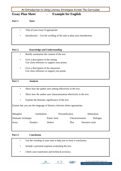#### **Essay Plan Sheet - Example for English**

**Part 1 Start** 

- Title of your essay if appropriate
- Introduction Use the wording of the task to plan your introduction.

#### Part 2 **Knowledge and Understanding**

- Briefly summarise the content of the text.
- Give a description of the setting. Use close reference to support your points.
- Give a description of the characters. Use close reference to support you points

#### **Part 3 Analysis**

- Show how the author uses setting effectively in the text.
- Show how the author uses characterisation effectively in the text.
- Explain the thematic significance of the text.

Ensure that you use the language of literary criticism where appropriate.

| Metaphor           | Symbolism |             | Personification |                  |                 | Alliteration |
|--------------------|-----------|-------------|-----------------|------------------|-----------------|--------------|
| Dramatic technique |           | Poetic form |                 | Characterisation |                 | Dialogue     |
| Irony              | Paradox   | Dialect     |                 | Plot             | Narrative style |              |

#### **Part 4 Conclusion**

- Use the wording of your task to help you to form a conclusion.
- Include a personal response evaluating the text.
- Check your expression and technical accuracy.





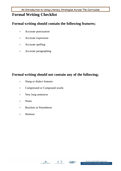## **Formal Writing Checklist**

## **Formal writing should contain the following features;**

- Accurate punctuation
- Accurate expression
- Accurate spelling
- Accurate paragraphing

## **Formal writing should not contain any of the following;**

- Slang or dialect features
- Compressed or Compound words
- Very long sentences
- Notes
- Brackets or Parenthesis
- Humour



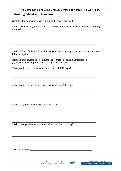#### **Thinking About our Learning**

Complete the following tasks by filling in the spaces provided.

1 What really made you think when you were learning to complete this functional writing exercise?

\_\_\_\_\_\_\_\_\_\_\_\_\_\_\_\_\_\_\_\_\_\_\_\_\_\_\_\_\_\_\_\_\_\_\_\_\_\_\_\_\_\_\_\_\_\_\_\_\_\_\_\_\_\_\_\_\_\_\_\_\_\_\_\_\_\_\_\_\_

\_\_\_\_\_\_\_\_\_\_\_\_\_\_\_\_\_\_\_\_\_\_\_\_\_\_\_\_\_\_\_\_\_\_\_\_\_\_\_\_\_\_\_\_\_\_\_\_\_\_\_\_\_\_\_\_\_\_\_\_\_\_\_\_\_\_\_\_\_

\_\_\_\_\_\_\_\_\_\_\_\_\_\_\_\_\_\_\_\_\_\_\_\_\_\_\_\_\_\_\_\_\_\_\_\_\_\_\_\_\_\_\_\_\_\_\_\_\_\_\_\_\_\_\_\_\_\_\_\_\_\_\_\_\_\_\_\_\_

\_\_\_\_\_\_\_\_\_\_\_\_\_\_\_\_\_\_\_\_\_\_\_\_\_\_\_\_\_\_\_\_\_\_\_\_\_\_\_\_\_\_\_\_\_\_\_\_\_\_\_\_\_\_\_\_\_\_\_\_\_\_\_\_\_\_\_\_\_

\_\_\_\_\_\_\_\_\_\_\_\_\_\_\_\_\_\_\_\_\_\_\_\_\_\_\_\_\_\_\_\_\_\_\_\_\_\_\_\_\_\_\_\_\_\_\_\_\_\_\_\_\_\_\_\_\_\_\_\_\_\_\_\_\_\_\_\_\_

\_\_\_\_\_\_\_\_\_\_\_\_\_\_\_\_\_\_\_\_\_\_\_\_\_\_\_\_\_\_\_\_\_\_\_\_\_\_\_\_\_\_\_\_\_\_\_\_\_\_\_\_\_\_\_\_\_\_\_\_\_\_\_\_\_\_\_\_\_

\_\_\_\_\_\_\_\_\_\_\_\_\_\_\_\_\_\_\_\_\_\_\_\_\_\_\_\_\_\_\_\_\_\_\_\_\_\_\_\_\_\_\_\_\_\_\_\_\_\_\_\_\_\_\_\_\_\_\_\_\_\_\_\_\_\_\_\_\_

\_\_\_\_\_\_\_\_\_\_\_\_\_\_\_\_\_\_\_\_\_\_\_\_\_\_\_\_\_\_\_\_\_\_\_\_\_\_\_\_\_\_\_\_\_\_\_\_\_\_\_\_\_\_\_\_\_\_\_\_\_\_\_\_\_\_\_\_\_

\_\_\_\_\_\_\_\_\_\_\_\_\_\_\_\_\_\_\_\_\_\_\_\_\_\_\_\_\_\_\_\_\_\_\_\_\_\_\_\_\_\_\_\_\_\_\_\_\_\_\_\_\_\_\_\_\_\_\_\_\_\_\_\_\_\_\_\_\_

\_\_\_\_\_\_\_\_\_\_\_\_\_\_\_\_\_\_\_\_\_\_\_\_\_\_\_\_\_\_\_\_\_\_\_\_\_\_\_\_\_\_\_\_\_\_\_\_\_\_\_\_\_\_\_\_\_\_\_\_\_\_\_\_\_\_\_\_\_

\_\_\_\_\_\_\_\_\_\_\_\_\_\_\_\_\_\_\_\_\_\_\_\_\_\_\_\_\_\_\_\_\_\_\_\_\_\_\_\_\_\_\_\_\_\_\_\_\_\_\_\_\_\_\_\_\_\_\_\_\_\_\_\_\_\_\_\_\_

\_\_\_\_\_\_\_\_\_\_\_\_\_\_\_\_\_\_\_\_\_\_\_\_\_\_\_\_\_\_\_\_\_\_\_\_\_\_\_\_\_\_\_\_\_\_\_\_\_\_\_\_\_\_\_\_\_\_\_\_\_\_\_\_\_\_\_\_\_

\_\_\_\_\_\_\_\_\_\_\_\_\_\_\_\_\_\_\_\_\_\_\_\_\_\_\_\_\_\_\_\_\_\_\_\_\_\_\_\_\_\_\_\_\_\_\_\_\_\_\_\_\_\_\_\_\_\_\_\_\_\_\_\_\_\_\_\_\_

\_\_\_\_\_\_\_\_\_\_\_\_\_\_\_\_\_\_\_\_\_\_\_\_\_\_\_\_\_\_\_\_\_\_\_\_\_\_\_\_\_\_\_\_\_\_\_\_\_\_\_\_\_\_\_\_\_\_\_\_\_\_\_\_\_\_\_\_\_

2 What did you find most difficult when you were beginning this work? Underline any of the following options :

(a) reading the sources (b) identifying the sources (c ) selecting information (d) explaining the purpose (e) writing in the right tone

3 Did you find the self-assessment exercises helpful? Explain.

4 Did you find the peer assessment exercises helpful? Explain.

\_\_\_\_\_\_\_\_\_\_\_\_\_\_\_\_\_\_\_\_\_\_\_\_\_\_\_\_\_\_\_\_\_\_\_\_\_\_\_\_\_\_\_\_\_\_\_\_\_\_\_\_\_\_\_\_\_\_\_\_\_\_\_\_\_\_\_\_\_ 5 What do you need more help or practice with?

6 What have you learned that is new about functional writing?

Teacher Comment\_\_\_\_\_\_\_\_\_\_\_\_\_\_\_\_\_\_\_\_\_\_\_\_\_\_\_\_\_\_\_\_\_\_\_\_\_\_\_\_\_\_\_\_\_\_\_\_\_\_\_



www.eastlothian.gov.uk **EDUCATION & CHILDREN'S SERVICES**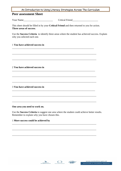| An Introduction to Using Literacy Strategies Across The Curriculum                                                             |  |
|--------------------------------------------------------------------------------------------------------------------------------|--|
| <b>Peer assessment Sheet</b>                                                                                                   |  |
| Your Name                                                                                                                      |  |
| This sheet should be filled in by your Critical Friend and then returned to you for action.<br>Three areas of success.         |  |
| Use the Success Criteria to identify three areas where the student has achieved success. Explain<br>why you selected each one. |  |
| 1 You have achieved success in                                                                                                 |  |
|                                                                                                                                |  |
|                                                                                                                                |  |
| 2 You have achieved success in                                                                                                 |  |
|                                                                                                                                |  |
| 3 You have achieved success in                                                                                                 |  |
|                                                                                                                                |  |
|                                                                                                                                |  |

#### **One area you need to work on.**

Use the **Success Criteria** to suggest one area where the student could achieve better results. Remember to explain why you have chosen this.

\_\_\_\_\_\_\_\_\_\_\_\_\_\_\_\_\_\_\_\_\_\_\_\_\_\_\_\_\_\_\_\_\_\_\_\_\_\_\_\_\_\_\_\_\_\_\_\_\_\_\_\_\_\_\_\_\_\_\_\_\_\_\_\_\_\_\_\_\_

\_\_\_\_\_\_\_\_\_\_\_\_\_\_\_\_\_\_\_\_\_\_\_\_\_\_\_\_\_\_\_\_\_\_\_\_\_\_\_\_\_\_\_\_\_\_\_\_\_\_\_\_\_\_\_\_\_\_\_\_\_\_\_\_\_\_\_\_\_

\_\_\_\_\_\_\_\_\_\_\_\_\_\_\_\_\_\_\_\_\_\_\_\_\_\_\_\_\_\_\_\_\_\_\_\_\_\_\_\_\_\_\_\_\_\_\_\_\_\_\_\_\_\_\_\_\_\_\_\_\_\_\_\_\_\_\_\_\_

#### 1 **More success could be achieved by**

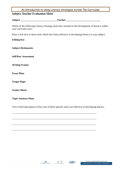#### **Subject Teacher Evaluation Sheet**

**Subject \_\_\_\_\_\_\_\_\_\_\_\_\_\_\_\_\_\_\_\_\_\_\_\_\_\_\_\_\_\_Teacher \_\_\_\_\_\_\_\_\_\_\_\_\_\_\_\_\_\_\_\_\_\_\_\_\_\_\_\_** 

Which of the following Literacy Strategy tools have assisted in the development of literacy within your curricular area?

Place a tick next to those tools which have been effective in developing literacy in your subject.

#### **Editing Key**

**Subject Dictionaries** 

**Self/Peer Assessment** 

**Writing Frames** 

**Essay Plans** 

**Target Maps** 

**Scatter Sheets** 

#### **Topic Sentence Plans**

Give a brief description of how one of these specific tools was effective in developing literacy.

\_\_\_\_\_\_\_\_\_\_\_\_\_\_\_\_\_\_\_\_\_\_\_\_\_\_\_\_\_\_\_\_\_\_\_\_\_\_\_\_\_\_\_\_\_\_\_\_\_\_\_\_\_\_\_\_\_\_\_\_\_\_\_\_\_\_\_\_\_

\_\_\_\_\_\_\_\_\_\_\_\_\_\_\_\_\_\_\_\_\_\_\_\_\_\_\_\_\_\_\_\_\_\_\_\_\_\_\_\_\_\_\_\_\_\_\_\_\_\_\_\_\_\_\_\_\_\_\_\_\_\_\_\_\_\_\_\_\_

\_\_\_\_\_\_\_\_\_\_\_\_\_\_\_\_\_\_\_\_\_\_\_\_\_\_\_\_\_\_\_\_\_\_\_\_\_\_\_\_\_\_\_\_\_\_\_\_\_\_\_\_\_\_\_\_\_\_\_\_\_\_\_\_\_\_\_\_\_

\_\_\_\_\_\_\_\_\_\_\_\_\_\_\_\_\_\_\_\_\_\_\_\_\_\_\_\_\_\_\_\_\_\_\_\_\_\_\_\_\_\_\_\_\_\_\_\_\_\_\_\_\_\_\_\_\_\_\_\_\_\_\_\_\_\_\_\_\_